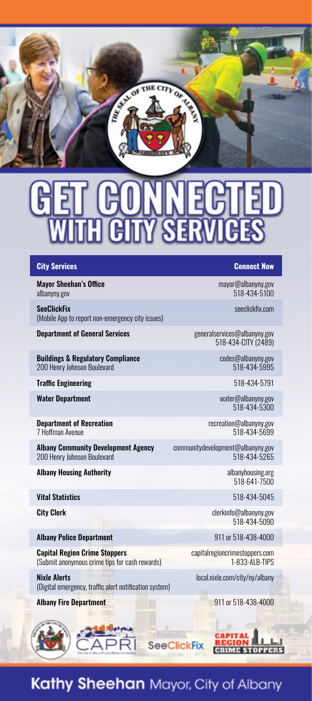

## **City Services** Connect Now

Mayor Sheehan's Office mayor@albanyny.gov

SeeClickFix.com **SeeClickFix.com** (Mobile App to report non-emergency city issues)

**Department of General Services** entertainment of **General Services** generalservices@albanyny.gov

Buildings & Regulatory Compliance codes@albanyny.gov 200 Henry Johnson Boulevard

**Traffic Engineering 518-434-5791** 

Water Department water@albanyny.gov

Department of Recreation recreation@albanyny.gov 7 Hoffman Avenue

Albany Community Development Agency<br>200 Henry Johnson Boulevard<br>518-434-5265 - 518 200 Henry Johnson Boulevard

Albany Housing Authority

Vital Statistics 518-434-5045

Albany Police Department 911 or 518-438-4000

**Capital Region Crime Stoppers**<br>
Submit anonymous crime tips for cash rewards)<br>
1-833-ALB-TIPS (Submit anonymous crime tips for cash rewards)

Nixle Alerts local.nixle.com/city/ny/albany (Digital emergency, traffic alert notification system)

### Albany Fire Department 911 or 518-438-4000

albanyny.gov 518-434-5100

518-434-CITY (2489)

518-434-5300

albanyhousing.org<br>518-641-7500

City Clerk clerkinfo@albanyny.gov 518-434-5090



## Kathy Sheehan Mayor, City of Albany

**SeeClickFix**